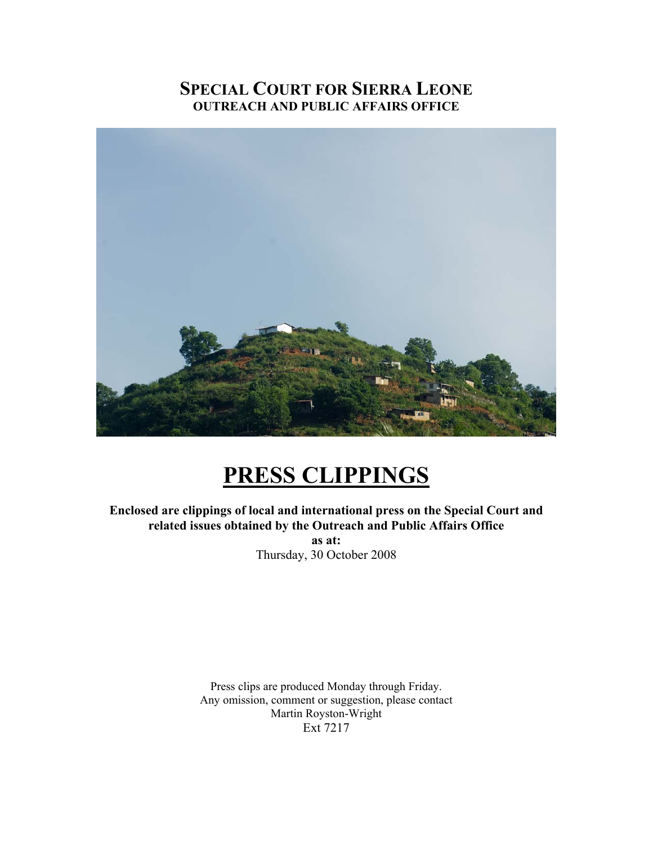# **SPECIAL COURT FOR SIERRA LEONE OUTREACH AND PUBLIC AFFAIRS OFFICE**



# **PRESS CLIPPINGS**

**Enclosed are clippings of local and international press on the Special Court and related issues obtained by the Outreach and Public Affairs Office as at:**  Thursday, 30 October 2008

> Press clips are produced Monday through Friday. Any omission, comment or suggestion, please contact Martin Royston-Wright Ext 7217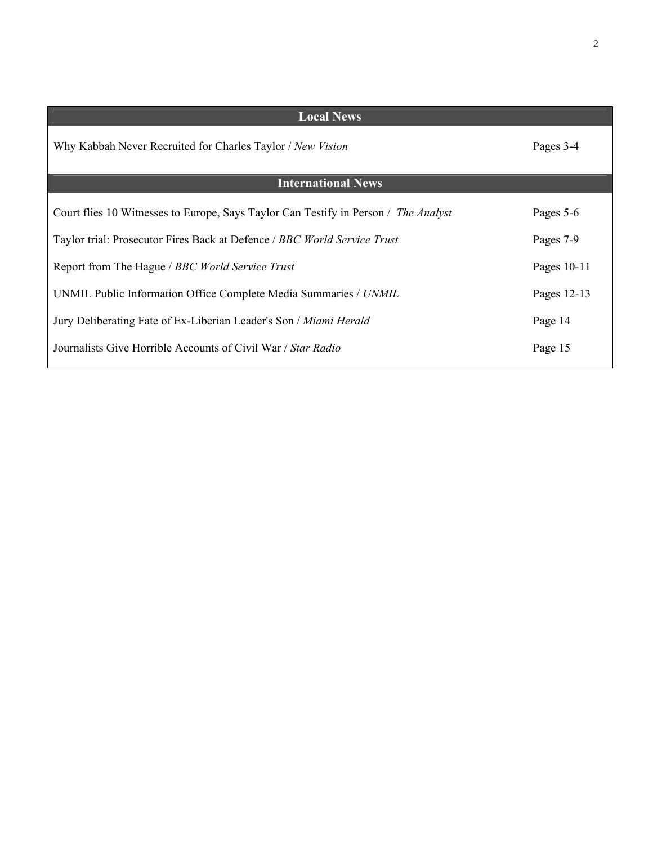| <b>Local News</b>                                                                   |             |
|-------------------------------------------------------------------------------------|-------------|
| Why Kabbah Never Recruited for Charles Taylor / New Vision                          | Pages 3-4   |
| <b>International News</b>                                                           |             |
| Court flies 10 Witnesses to Europe, Says Taylor Can Testify in Person / The Analyst | Pages 5-6   |
| Taylor trial: Prosecutor Fires Back at Defence / BBC World Service Trust            | Pages 7-9   |
| Report from The Hague / BBC World Service Trust                                     | Pages 10-11 |
| UNMIL Public Information Office Complete Media Summaries / UNMIL                    | Pages 12-13 |
| Jury Deliberating Fate of Ex-Liberian Leader's Son / Miami Herald                   | Page 14     |
| Journalists Give Horrible Accounts of Civil War / Star Radio                        | Page 15     |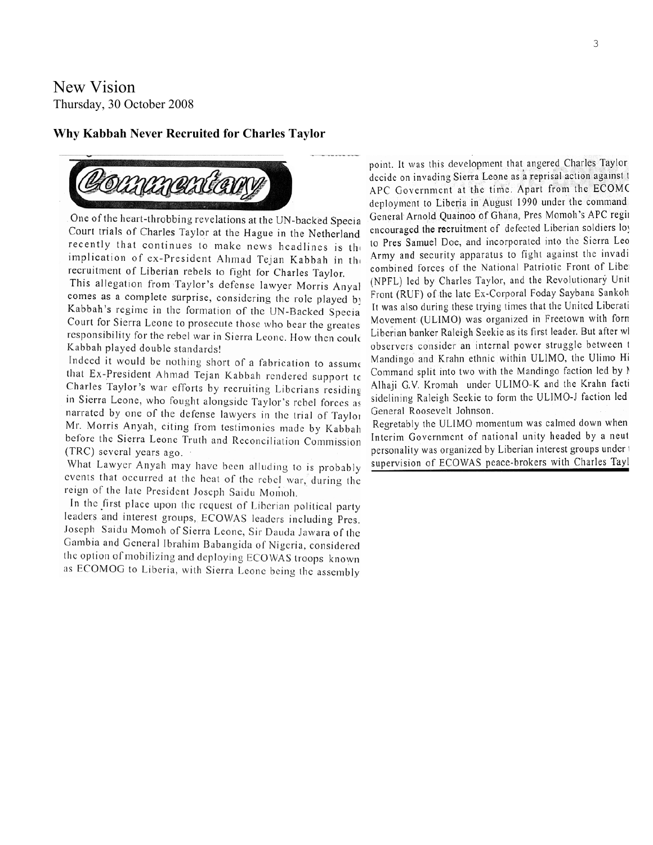New Vision Thursday, 30 October 2008

#### **Why Kabbah Never Recruited for Charles Taylor**



One of the heart-throbbing revelations at the UN-backed Specia Court trials of Charles Taylor at the Hague in the Netherland recently that continues to make news headlines is the implication of ex-President Ahmad Tejan Kabbah in the recruitment of Liberian rebels to fight for Charles Taylor.

This allegation from Taylor's defense lawyer Morris Anyal comes as a complete surprise, considering the role played by Kabbah's regime in the formation of the UN-Backed Specia Court for Sierra Leone to prosecute those who bear the greates responsibility for the rebel war in Sierra Leone. How then could Kabbah played double standards!

Indeed it would be nothing short of a fabrication to assume that Ex-President Ahmad Tejan Kabbah rendered support to Charles Taylor's war efforts by recruiting Liberians residing in Sierra Leone, who fought alongside Taylor's rebel forces as narrated by one of the defense lawyers in the trial of Taylor Mr. Morris Anyah, citing from testimonies made by Kabbah before the Sierra Leone Truth and Reconciliation Commission (TRC) several years ago.

What Lawyer Anyah may have been alluding to is probably events that occurred at the heat of the rebel war, during the reign of the late President Joseph Saidu Momoh.

In the first place upon the request of Liberian political party leaders and interest groups, ECOWAS leaders including Pres. Joseph Saidu Momoh of Sierra Leone, Sir Dauda Jawara of the Gambia and General Ibrahim Babangida of Nigeria, considered the option of mobilizing and deploying ECOWAS troops known as ECOMOG to Liberia, with Sierra Leone being the assembly

point. It was this development that angered Charles Taylor decide on invading Sierra Leone as a reprisal action against t APC Government at the time. Apart from the ECOMC deployment to Liberia in August 1990 under the command General Arnold Quainoo of Ghana, Pres Momoh's APC regin encouraged the recruitment of defected Liberian soldiers loy to Pres Samuel Doe, and incorporated into the Sierra Leo Army and security apparatus to fight against the invadi combined forces of the National Patriotic Front of Liber (NPFL) led by Charles Taylor, and the Revolutionary Unit Front (RUF) of the late Ex-Corporal Foday Saybana Sankoh It was also during these trying times that the United Liberati Movement (ULIMO) was organized in Freetown with form Liberian banker Raleigh Seekie as its first leader. But after wl observers consider an internal power struggle between t Mandingo and Krahn ethnic within ULIMO, the Ulimo Hi Command split into two with the Mandingo faction led by N Alhaji G.V. Kromah under ULIMO-K and the Krahn facti sidelining Raleigh Seekie to form the ULIMO-J faction led General Roosevelt Johnson.

Regretably the ULIMO momentum was calmed down when Interim Government of national unity headed by a neut personality was organized by Liberian interest groups under t supervision of ECOWAS peace-brokers with Charles Tayl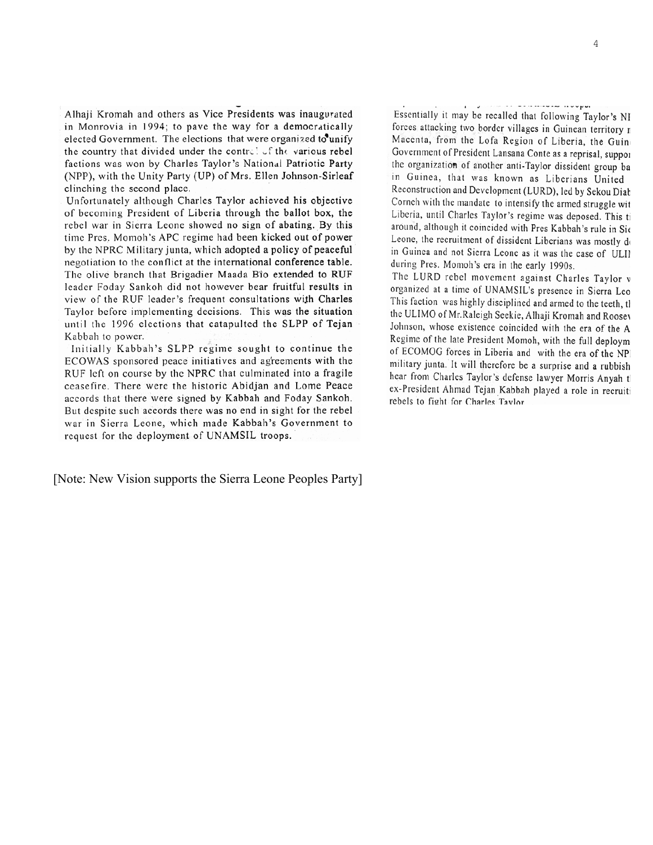Alhaji Kromah and others as Vice Presidents was inaugurated in Monrovia in 1994; to pave the way for a democratically elected Government. The elections that were organized to unify the country that divided under the control of the various rebel factions was won by Charles Taylor's National Patriotic Party (NPP), with the Unity Party (UP) of Mrs. Ellen Johnson-Sirleaf clinching the second place.

Unfortunately although Charles Taylor achieved his objective of becoming President of Liberia through the ballot box, the rebel war in Sierra Leone showed no sign of abating. By this time Pres. Momoh's APC regime had been kicked out of power by the NPRC Military junta, which adopted a policy of peaceful negotiation to the conflict at the international conference table. The olive branch that Brigadier Maada Bio extended to RUF leader Foday Sankoh did not however bear fruitful results in view of the RUF leader's frequent consultations with Charles Taylor before implementing decisions. This was the situation until the 1996 elections that catapulted the SLPP of Tejan Kabbah to power.

Initially Kabbah's SLPP regime sought to continue the ECOWAS sponsored peace initiatives and agreements with the RUF left on course by the NPRC that culminated into a fragile ceasefire. There were the historic Abidjan and Lome Peace accords that there were signed by Kabbah and Foday Sankoh. But despite such accords there was no end in sight for the rebel war in Sierra Leone, which made Kabbah's Government to request for the deployment of UNAMSIL troops.

[Note: New Vision supports the Sierra Leone Peoples Party]

Essentially it may be recalled that following Taylor's NF forces attacking two border villages in Guinean territory n Macenta, from the Lofa Region of Liberia, the Guine Government of President Lansana Conte as a reprisal, suppor the organization of another anti-Taylor dissident group ba in Guinea, that was known as Liberians United Reconstruction and Development (LURD), led by Sekou Diab Corneh with the mandate to intensify the armed struggle wit Liberia, until Charles Taylor's regime was deposed. This ti around, although it coincided with Pres Kabbah's rule in Sie Leone, the recruitment of dissident Liberians was mostly do in Guinea and not Sierra Leone as it was the case of ULIN during Pres. Momoh's era in the early 1990s.

The LURD rebel movement against Charles Taylor w organized at a time of UNAMSIL's presence in Sierra Leo This faction was highly disciplined and armed to the teeth, the the ULIMO of Mr.Raleigh Seekie, Alhaji Kromah and Roosev Johnson, whose existence coincided with the era of the A Regime of the late President Momoh, with the full deploym of ECOMOG forces in Liberia and with the era of the NPI military junta. It will therefore be a surprise and a rubbish hear from Charles Taylor's defense lawyer Morris Anyah tl ex-President Ahmad Tejan Kabbah played a role in recruiti rebels to fight for Charles Tavlor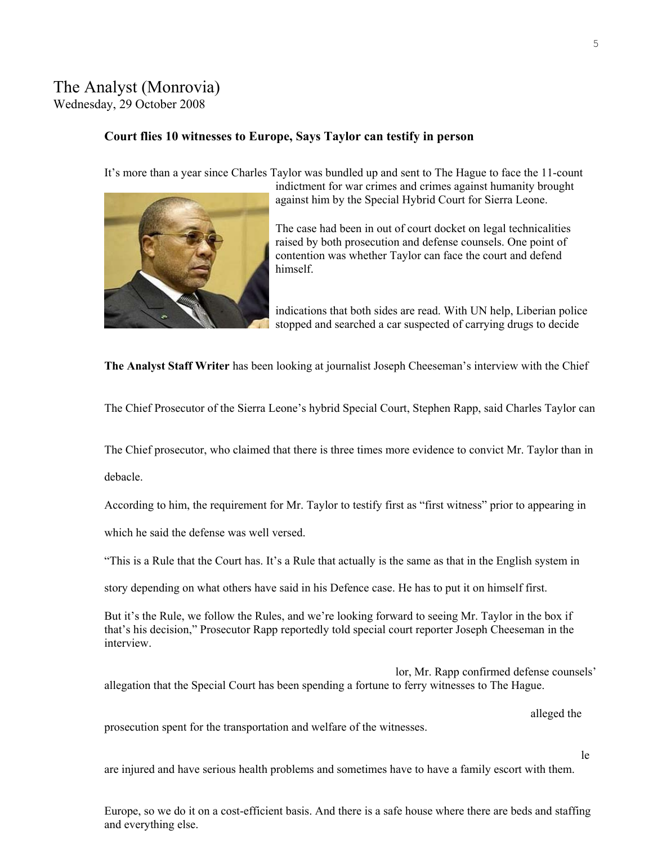## The Analyst (Monrovia) Wednesday, 29 October 2008

#### **Court flies 10 witnesses to Europe, Says Taylor can testify in person**

It's more than a year since Charles Taylor was bundled up and sent to The Hague to face the 11-count



indictment for war crimes and crimes against humanity brought against him by the Special Hybrid Court for Sierra Leone.

The case had been in out of court docket on legal technicalities raised by both prosecution and defense counsels. One point of contention was whether Taylor can face the court and defend himself.

indications that both sides are read. With UN help, Liberian police stopped and searched a car suspected of carrying drugs to decide

**The Analyst Staff Writer** has been looking at journalist Joseph Cheeseman's interview with the Chief

The Chief Prosecutor of the Sierra Leone's hybrid Special Court, Stephen Rapp, said Charles Taylor can

The Chief prosecutor, who claimed that there is three times more evidence to convict Mr. Taylor than in

debacle.

According to him, the requirement for Mr. Taylor to testify first as "first witness" prior to appearing in

which he said the defense was well versed.

"This is a Rule that the Court has. It's a Rule that actually is the same as that in the English system in

story depending on what others have said in his Defence case. He has to put it on himself first.

But it's the Rule, we follow the Rules, and we're looking forward to seeing Mr. Taylor in the box if that's his decision," Prosecutor Rapp reportedly told special court reporter Joseph Chee seman in the interview.

lor, Mr. Rapp confirmed defense counsels' allegation that the Special Court has been spending a fortune to ferry witnesses to The Hague.

alleged the

prosecution spent for the transportation and welfare of the witnesses.

le

are injured and have serious health problems and sometimes have to have a family escort with them.

Europe, so we do it on a cost-efficient basis. And there is a safe house where there are beds and staffing and everything else.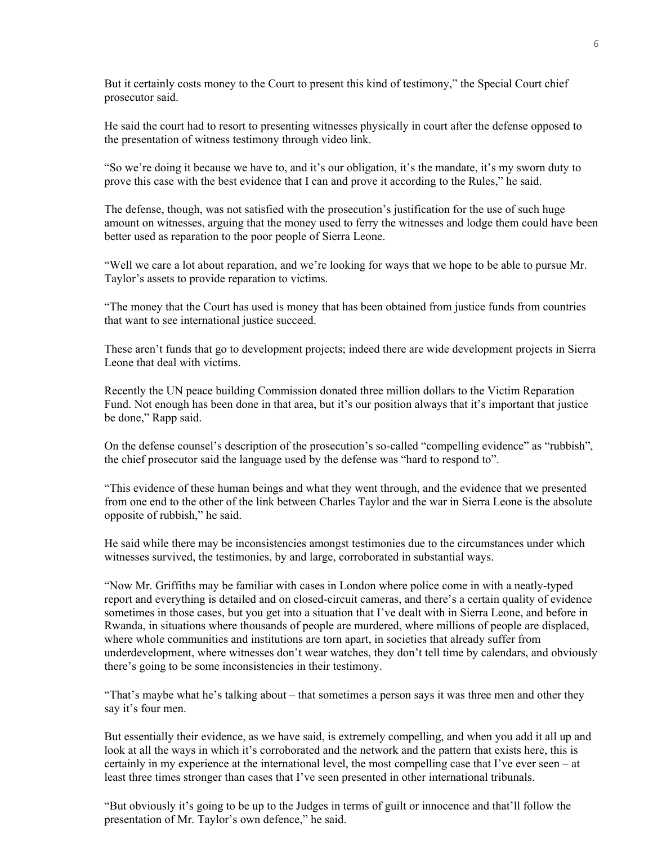But it certainly costs money to the Court to present this kind of testimony," the Special Court chief prosecutor said.

He said the court had to resort to presenting witnesses physically in court after the defense opposed to the presentation of witness testimony through video link.

"So we're doing it because we have to, and it's our obligation, it's the mandate, it's my sworn duty to prove this case with the best evidence that I can and prove it according to the Rules," he said.

The defense, though, was not satisfied with the prosecution's justification for the use of such huge amount on witnesses, arguing that the money used to ferry the witnesses and lodge them could have been better used as reparation to the poor people of Sierra Leone.

"Well we care a lot about reparation, and we're looking for ways that we hope to be able to pursue Mr. Taylor's assets to provide reparation to victims.

"The money that the Court has used is money that has been obtained from justice funds from countries that want to see international justice succeed.

These aren't funds that go to development projects; indeed there are wide development projects in Sierra Leone that deal with victims.

Recently the UN peace building Commission donated three million dollars to the Victim Reparation Fund. Not enough has been done in that area, but it's our position always that it's important that justice be done," Rapp said.

On the defense counsel's description of the prosecution's so-called "compelling evidence" as "rubbish", the chief prosecutor said the language used by the defense was "hard to respond to".

"This evidence of these human beings and what they went through, and the evidence that we presented from one end to the other of the link between Charles Taylor and the war in Sierra Leone is the absolute opposite of rubbish," he said.

He said while there may be inconsistencies amongst testimonies due to the circumstances under which witnesses survived, the testimonies, by and large, corroborated in substantial ways.

"Now Mr. Griffiths may be familiar with cases in London where police come in with a neatly-typed report and everything is detailed and on closed-circuit cameras, and there's a certain quality of evidence sometimes in those cases, but you get into a situation that I've dealt with in Sierra Leone, and before in Rwanda, in situations where thousands of people are murdered, where millions of people are displaced, where whole communities and institutions are torn apart, in societies that already suffer from underdevelopment, where witnesses don't wear watches, they don't tell time by calendars, and obviously there's going to be some inconsistencies in their testimony.

"That's maybe what he's talking about – that sometimes a person says it was three men and other they say it's four men.

But essentially their evidence, as we have said, is extremely compelling, and when you add it all up and look at all the ways in which it's corroborated and the network and the pattern that exists here, this is certainly in my experience at the international level, the most compelling case that I've ever seen – at least three times stronger than cases that I've seen presented in other international tribunals.

"But obviously it's going to be up to the Judges in terms of guilt or innocence and that'll follow the presentation of Mr. Taylor's own defence," he said.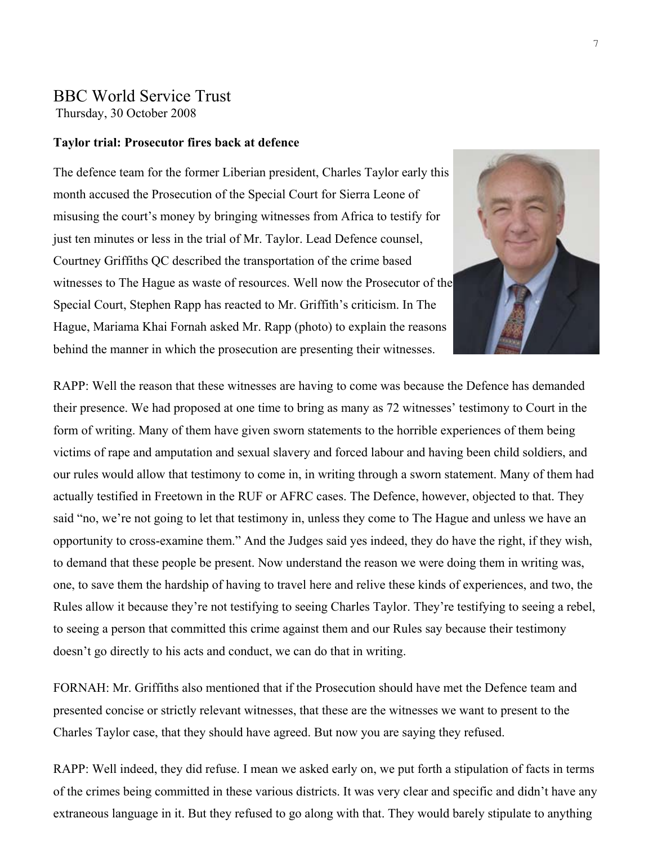# BBC World Service Trust

Thursday, 30 October 2008

#### **Taylor trial: Prosecutor fires back at defence**

witnesses to The Hague as waste of resources. Well now the Prosecutor of the The defence team for the former Liberian president, Charles Taylor early this month accused the Prosecution of the Special Court for Sierra Leone of misusing the court's money by bringing witnesses from Africa to testify for just ten minutes or less in the trial of Mr. Taylor. Lead Defence counsel, Courtney Griffiths QC described the transportation of the crime based Special Court, Stephen Rapp has reacted to Mr. Griffith's criticism. In The Hague, Mariama Khai Fornah asked Mr. Rapp (photo) to explain the reaso ns behind the manner in which the prosecution are presenting their witnesse s.



RAPP: Well the reason that these witnesses are having to come was because the Defence has demanded their presence. We had proposed at one time to bring as many as 72 witnesses' testimony to Court in the form of writing. Many of them have given sworn statements to the horrible experiences of them being victims of rape and amputation and sexual slavery and forced labour and having been child soldiers, and our rules would allow that testimony to come in, in writing through a sworn statement. Many of them had actually testified in Freetown in the RUF or AFRC cases. The Defence, however, objected to that. They said "no, we're not going to let that testimony in, unless they come to The Hague and unless we have an opportunity to cross-examine them." And the Judges said yes indeed, they do have the right, if they wish, to demand that these people be present. Now understand the reason we were doing them in writing was, one, to save them the hardship of having to travel here and relive these kinds of experiences, and two, the Rules allow it because they're not testifying to seeing Charles Taylor. They're testifying to seeing a rebel, to seeing a person that committed this crime against them and our Rules say because their testimony doesn't go directly to his acts and conduct, we can do that in writing.

FORNAH: Mr. Griffiths also mentioned that if the Prosecution should have met the Defence team and presented concise or strictly relevant witnesses, that these are the witnesses we want to present to the Charles Taylor case, that they should have agreed. But now you are saying they refused.

RAPP: Well indeed, they did refuse. I mean we asked early on, we put forth a stipulation of facts in terms of the crimes being committed in these various districts. It was very clear and specific and didn't have any extraneous language in it. But they refused to go along with that. They would barely stipulate to anything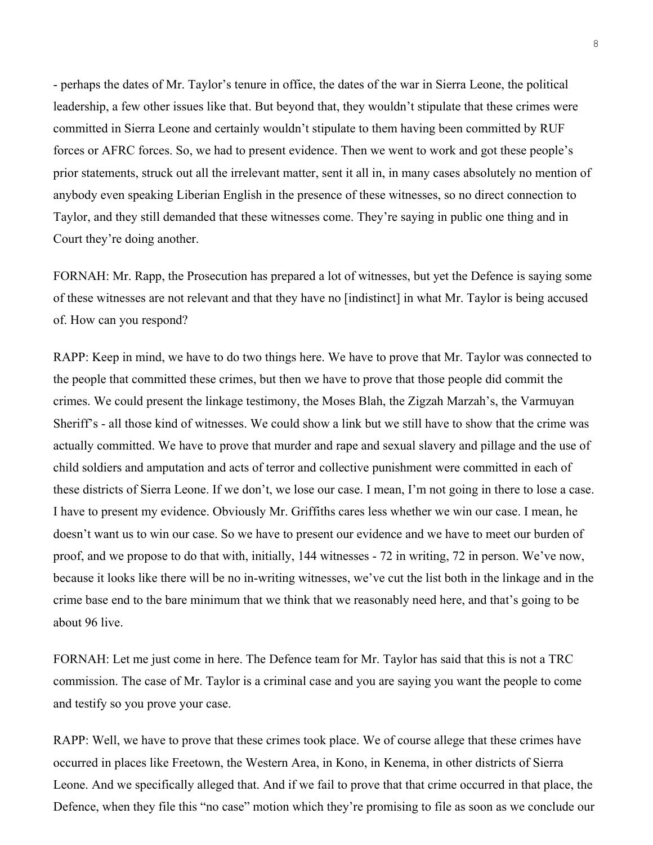- perhaps the dates of Mr. Taylor's tenure in office, the dates of the war in Sierra Leone, the political leadership, a few other issues like that. But beyond that, they wouldn't stipulate that these crimes were committed in Sierra Leone and certainly wouldn't stipulate to them having been committed by RUF forces or AFRC forces. So, we had to present evidence. Then we went to work and got these people's prior statements, struck out all the irrelevant matter, sent it all in, in many cases absolutely no mention of anybody even speaking Liberian English in the presence of these witnesses, so no direct connection to Taylor, and they still demanded that these witnesses come. They're saying in public one thing and in Court they're doing another.

FORNAH: Mr. Rapp, the Prosecution has prepared a lot of witnesses, but yet the Defence is saying some of these witnesses are not relevant and that they have no [indistinct] in what Mr. Taylor is being accused of. How can you respond?

RAPP: Keep in mind, we have to do two things here. We have to prove that Mr. Taylor was connected to the people that committed these crimes, but then we have to prove that those people did commit the crimes. We could present the linkage testimony, the Moses Blah, the Zigzah Marzah's, the Varmuyan Sheriff's - all those kind of witnesses. We could show a link but we still have to show that the crime was actually committed. We have to prove that murder and rape and sexual slavery and pillage and the use of child soldiers and amputation and acts of terror and collective punishment were committed in each of these districts of Sierra Leone. If we don't, we lose our case. I mean, I'm not going in there to lose a case. I have to present my evidence. Obviously Mr. Griffiths cares less whether we win our case. I mean, he doesn't want us to win our case. So we have to present our evidence and we have to meet our burden of proof, and we propose to do that with, initially, 144 witnesses - 72 in writing, 72 in person. We've now, because it looks like there will be no in-writing witnesses, we've cut the list both in the linkage and in the crime base end to the bare minimum that we think that we reasonably need here, and that's going to be about 96 live.

FORNAH: Let me just come in here. The Defence team for Mr. Taylor has said that this is not a TRC commission. The case of Mr. Taylor is a criminal case and you are saying you want the people to come and testify so you prove your case.

RAPP: Well, we have to prove that these crimes took place. We of course allege that these crimes have occurred in places like Freetown, the Western Area, in Kono, in Kenema, in other districts of Sierra Leone. And we specifically alleged that. And if we fail to prove that that crime occurred in that place, the Defence, when they file this "no case" motion which they're promising to file as soon as we conclude our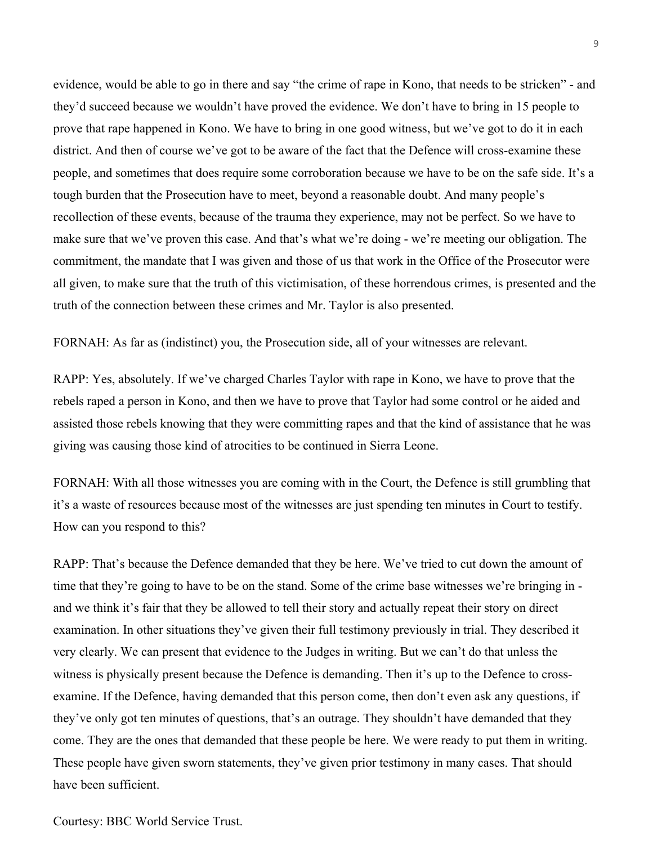evidence, would be able to go in there and say "the crime of rape in Kono, that needs to be stricken" - and they'd succeed because we wouldn't have proved the evidence. We don't have to bring in 15 people to prove that rape happened in Kono. We have to bring in one good witness, but we've got to do it in each district. And then of course we've got to be aware of the fact that the Defence will cross-examine these people, and sometimes that does require some corroboration because we have to be on the safe side. It's a tough burden that the Prosecution have to meet, beyond a reasonable doubt. And many people's recollection of these events, because of the trauma they experience, may not be perfect. So we have to make sure that we've proven this case. And that's what we're doing - we're meeting our obligation. The commitment, the mandate that I was given and those of us that work in the Office of the Prosecutor were all given, to make sure that the truth of this victimisation, of these horrendous crimes, is presented and the truth of the connection between these crimes and Mr. Taylor is also presented.

FORNAH: As far as (indistinct) you, the Prosecution side, all of your witnesses are relevant.

RAPP: Yes, absolutely. If we've charged Charles Taylor with rape in Kono, we have to prove that the rebels raped a person in Kono, and then we have to prove that Taylor had some control or he aided and assisted those rebels knowing that they were committing rapes and that the kind of assistance that he was giving was causing those kind of atrocities to be continued in Sierra Leone.

FORNAH: With all those witnesses you are coming with in the Court, the Defence is still grumbling that it's a waste of resources because most of the witnesses are just spending ten minutes in Court to testify. How can you respond to this?

RAPP: That's because the Defence demanded that they be here. We've tried to cut down the amount of time that they're going to have to be on the stand. Some of the crime base witnesses we're bringing in and we think it's fair that they be allowed to tell their story and actually repeat their story on direct examination. In other situations they've given their full testimony previously in trial. They described it very clearly. We can present that evidence to the Judges in writing. But we can't do that unless the witness is physically present because the Defence is demanding. Then it's up to the Defence to crossexamine. If the Defence, having demanded that this person come, then don't even ask any questions, if they've only got ten minutes of questions, that's an outrage. They shouldn't have demanded that they come. They are the ones that demanded that these people be here. We were ready to put them in writing. These people have given sworn statements, they've given prior testimony in many cases. That should have been sufficient.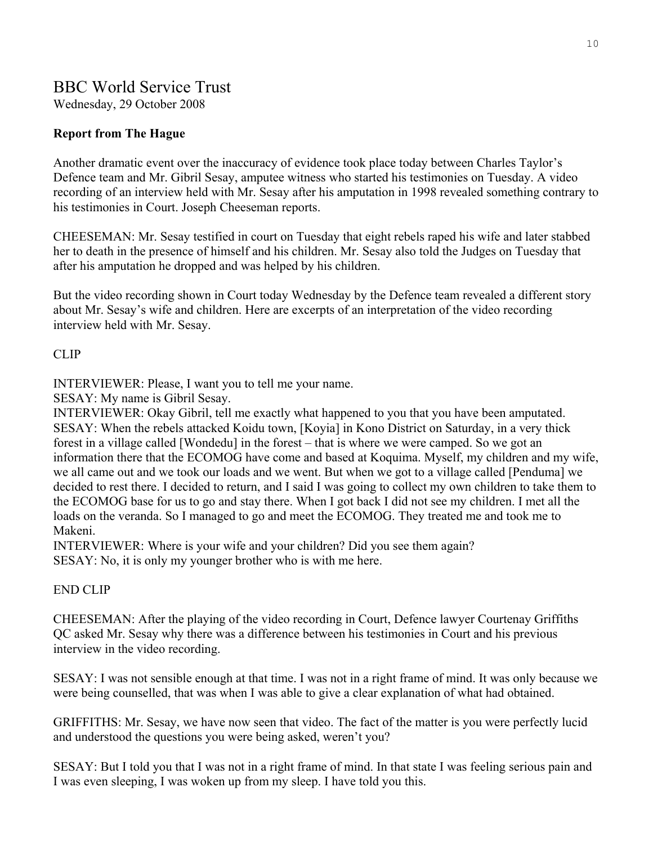# BBC World Service Trust

Wednesday, 29 October 2008

## **Report from The Hague**

Another dramatic event over the inaccuracy of evidence took place today between Charles Taylor's Defence team and Mr. Gibril Sesay, amputee witness who started his testimonies on Tuesday. A video recording of an interview held with Mr. Sesay after his amputation in 1998 revealed something contrary to his testimonies in Court. Joseph Cheeseman reports.

CHEESEMAN: Mr. Sesay testified in court on Tuesday that eight rebels raped his wife and later stabbed her to death in the presence of himself and his children. Mr. Sesay also told the Judges on Tuesday that after his amputation he dropped and was helped by his children.

But the video recording shown in Court today Wednesday by the Defence team revealed a different story about Mr. Sesay's wife and children. Here are excerpts of an interpretation of the video recording interview held with Mr. Sesay.

#### CLIP

INTERVIEWER: Please, I want you to tell me your name.

SESAY: My name is Gibril Sesay.

INTERVIEWER: Okay Gibril, tell me exactly what happened to you that you have been amputated. SESAY: When the rebels attacked Koidu town, [Koyia] in Kono District on Saturday, in a very thick forest in a village called [Wondedu] in the forest – that is where we were camped. So we got an information there that the ECOMOG have come and based at Koquima. Myself, my children and my wife, we all came out and we took our loads and we went. But when we got to a village called [Penduma] we decided to rest there. I decided to return, and I said I was going to collect my own children to take them to the ECOMOG base for us to go and stay there. When I got back I did not see my children. I met all the loads on the veranda. So I managed to go and meet the ECOMOG. They treated me and took me to Makeni.

INTERVIEWER: Where is your wife and your children? Did you see them again? SESAY: No, it is only my younger brother who is with me here.

### END CLIP

CHEESEMAN: After the playing of the video recording in Court, Defence lawyer Courtenay Griffiths QC asked Mr. Sesay why there was a difference between his testimonies in Court and his previous interview in the video recording.

SESAY: I was not sensible enough at that time. I was not in a right frame of mind. It was only because we were being counselled, that was when I was able to give a clear explanation of what had obtained.

GRIFFITHS: Mr. Sesay, we have now seen that video. The fact of the matter is you were perfectly lucid and understood the questions you were being asked, weren't you?

SESAY: But I told you that I was not in a right frame of mind. In that state I was feeling serious pain and I was even sleeping, I was woken up from my sleep. I have told you this.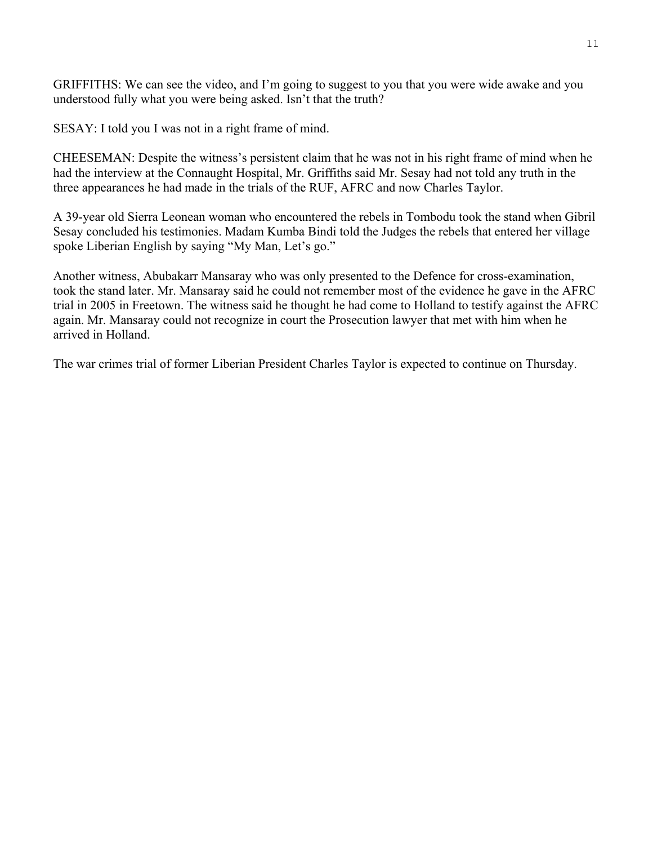GRIFFITHS: We can see the video, and I'm going to suggest to you that you were wide awake and you understood fully what you were being asked. Isn't that the truth?

SESAY: I told you I was not in a right frame of mind.

CHEESEMAN: Despite the witness's persistent claim that he was not in his right frame of mind when he had the interview at the Connaught Hospital, Mr. Griffiths said Mr. Sesay had not told any truth in the three appearances he had made in the trials of the RUF, AFRC and now Charles Taylor.

 39-year old Sierra Leonean woman who encountered the rebels in Tombodu took the stand when Gibril A Sesay concluded his testimonies. Madam Kumba Bindi told the Judges the rebels that entered her village spoke Liberian English by saying "My Man, Let's go."

Another witness, Abubakarr Mansaray who was only presented to the Defence for cross-examination, trial in 2005 in Freetown. The witness said he thought he had come to Holland to testify against the AFRC again. Mr. Mansaray could not recognize in court the Prosecution lawyer that met with him when he arrived in Holland. took the stand later. Mr. Mansaray said he could not remember most of the evidence he gave in the AFRC

The war crimes trial of former Liberian President Charles Taylor is expected to continue on Thursday.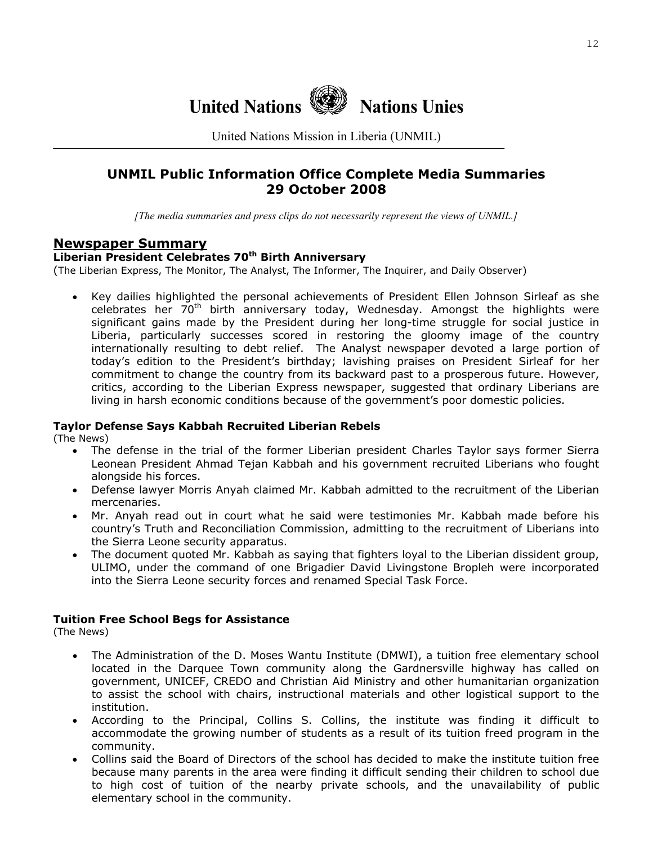

United Nations Mission in Liberia (UNMIL)

## **UNMIL Public Information Office Complete Media Summaries 29 October 2008**

*[The media summaries and press clips do not necessarily represent the views of UNMIL.]*

#### **Newspaper Summary**

#### Liberian President Celebrates 70<sup>th</sup> Birth Anniversary

(The Liberian Express, The Monitor, The Analyst, The Informer, The Inquirer, and Daily Observer)

significant gains made by the President during her long-time struggle for social justice in Liberia, particularly successes scored in restoring the gloomy image of the country internationally resulting to debt relief. The Analyst newspaper devoted a large portion of today's edition to the President's birthday; lavishing praises on President Sirleaf for her commitment to change the country from its backward past to a prosperous future. However, critics, according to the Liberian Express newspaper, suggested that ordinary Liberians are living in harsh economic conditions because of the government's poor domestic policies. • Key dailies highlighted the personal achievements of President Ellen Johnson Sirleaf as she celebrates her 70<sup>th</sup> birth anniversary today, Wednesday. Amongst the highlights were

#### **aylor Defense Says Kabbah Recruited Liberian Rebels T**

(The News)

- The defense in the trial of the former Liberian president Charles Taylor says former Sierra Leonean President Ahmad Tejan Kabbah and his government recruited Liberians who fought alongside his forces.
- Defense lawyer Morris Anyah claimed Mr. Kabbah admitted to the recruitment of the Liberian mercenaries.
- Mr. Anyah read out in court what he said were testimonies Mr. Kabbah made before his country's Truth and Reconciliation Commission, admitting to the recruitment of Liberians into the Sierra Leone security apparatus.
- The document quoted Mr. Kabbah as saying that fighters loyal to the Liberian dissident group, ULIMO, under the command of one Brigadier David Livingstone Bropleh were incorporated into the Sierra Leone security forces and renamed Special Task Force.

#### **Tuition Free School Begs for Assistance**

(The News)

- The Administration of the D. Moses Wantu Institute (DMWI), a tuition free elementary school located in the Darquee Town community along the Gardnersville highway has called on government, UNICEF, CREDO and Christian Aid Ministry and other humanitarian organization to assist the school with chairs, instructional materials and other logistical support to the institution.
- According to the Principal, Collins S. Collins, the institute was finding it difficult to accommodate the growing number of students as a result of its tuition freed program in the community.
- Collins said the Board of Directors of the school has decided to make the institute tuition free because many parents in the area were finding it difficult sending their children to school due to high cost of tuition of the nearby private schools, and the unavailability of public elementary school in the community.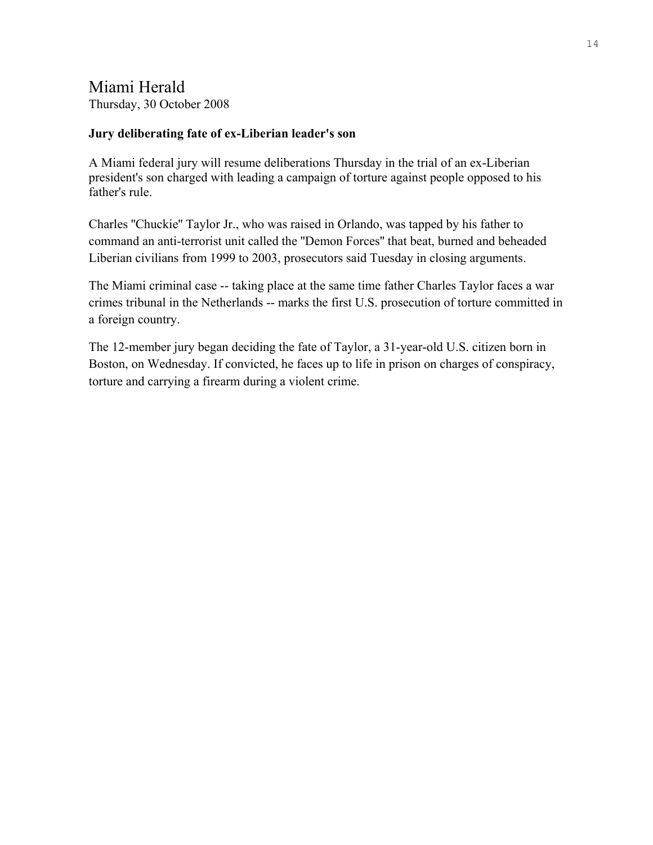# Miami Herald

Thursday, 30 October 2008

## **Jury deliberating fate of ex-Liberian leader's son**

A Miami federal jury will resume deliberations Thursday in the trial of an ex-Liberian president's son charged with leading a campaign of torture against people opposed to his father's rule.

Charles ''Chuckie'' Taylor Jr., who was raised in Orlando, was tapped by his father to command an anti-terrorist unit called the ''Demon Forces'' that beat, burned and beheaded Liberian civilians from 1999 to 2003, prosecutors said Tuesday in closing arguments.

The Miami criminal case -- taking place at the same time father Charles Taylor faces a war crimes tribunal in the Netherlands -- marks the first U.S. prosecution of torture committed in a foreign country.

The 12-member jury began deciding the fate of Taylor, a 31-year-old U.S. citizen born in Boston, on Wednesday. If convicted, he faces up to life in prison on charges of conspiracy, torture and carrying a firearm during a violent crime.